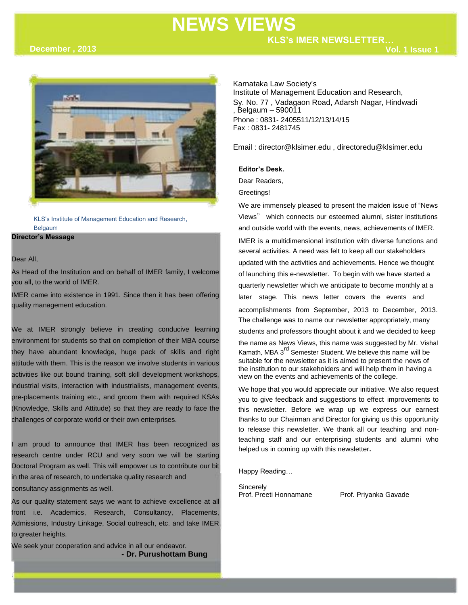# **NEWS VIEWS**

**Vol. 1 Issue 1**



KLS's Institute of Management Education and Research, Belgaum

#### **Director's Message**

#### Dear All,

.

As Head of the Institution and on behalf of IMER family, I welcome you all, to the world of IMER.

IMER came into existence in 1991. Since then it has been offering quality management education.

We at IMER strongly believe in creating conducive learning environment for students so that on completion of their MBA course they have abundant knowledge, huge pack of skills and right attitude with them. This is the reason we involve students in various activities like out bound training, soft skill development workshops, industrial visits, interaction with industrialists, management events, pre-placements training etc., and groom them with required KSAs (Knowledge, Skills and Attitude) so that they are ready to face the challenges of corporate world or their own enterprises.

am proud to announce that IMER has been recognized as research centre under RCU and very soon we will be starting Doctoral Program as well. This will empower us to contribute our bit in the area of research, to undertake quality research and consultancy assignments as well.

As our quality statement says we want to achieve excellence at all front i.e. Academics, Research, Consultancy, Placements, Admissions, Industry Linkage, Social outreach, etc. and take IMER to greater heights.

We seek your cooperation and advice in all our endeavor. **- Dr. Purushottam Bung** Karnataka Law Society's Institute of Management Education and Research, Sy. No. 77 , Vadagaon Road, Adarsh Nagar, Hindwadi , Belgaum – 590011 Phone : 0831- 2405511/12/13/14/15 Fax : 0831- 2481745

Email : director@klsimer.edu , directoredu@klsimer.edu

#### **Editor's Desk.**

Dear Readers,

Greetings!

We are immensely pleased to present the maiden issue of "News Views" which connects our esteemed alumni, sister institutions and outside world with the events, news, achievements of IMER. IMER is a multidimensional institution with diverse functions and several activities. A need was felt to keep all our stakeholders updated with the activities and achievements. Hence we thought of launching this e-newsletter. To begin with we have started a quarterly newsletter which we anticipate to become monthly at a later stage. This news letter covers the events and accomplishments from September, 2013 to December, 2013. The challenge was to name our newsletter appropriately, many students and professors thought about it and we decided to keep the name as News Views, this name was suggested by Mr. Vishal Kamath, MBA 3<sup>rd</sup> Semester Student. We believe this name will be suitable for the newsletter as it is aimed to present the news of the institution to our stakeholders and will help them in having a view on the events and achievements of the college.

We hope that you would appreciate our initiative. We also request you to give feedback and suggestions to effect improvements to this newsletter. Before we wrap up we express our earnest thanks to our Chairman and Director for giving us this opportunity to release this newsletter. We thank all our teaching and nonteaching staff and our enterprising students and alumni who helped us in coming up with this newsletter**.**

Happy Reading…

Sincerely<br>Prof. Preeti Honnamane

Prof. Priyanka Gavade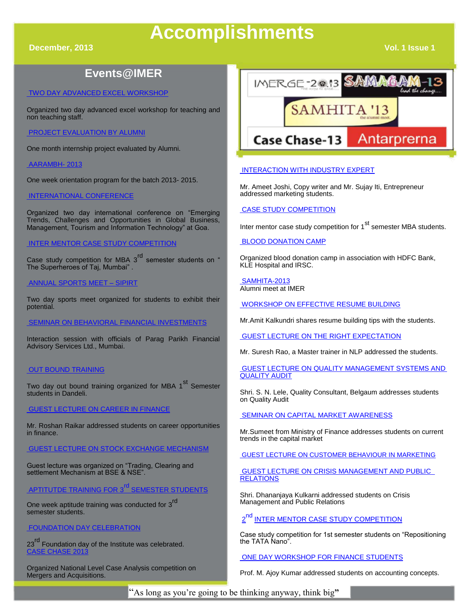# **Accomplishments**

**December, 2013 Vol. 1 Issue 1** 

## **Events@IMER**

#### [TWO DAY ADVANCED EXCEL WORKSHOP](http://klsimer.edu/2013/09/18/2-days-workshop-on-advanced-excel/)

Organized two day advanced excel workshop for teaching and non teaching staff.

#### [PROJECT EVALUATION BY ALUMNI](http://klsimer.edu/2013/12/10/project-viva-evaluated-by-alumni/)

One month internship project evaluated by Alumni.

#### [AARAMBH-](http://klsimer.edu/2013/09/18/aarambh-2013/) 2013

One week orientation program for the batch 2013- 2015.

#### [INTERNATIONAL CONFERENCE](http://klsimer.edu/2013/10/05/13th-international-conference-on-emerging-trends-challenges-and-opportunities-in-global-business-management-tourism-and-information-technology-at-goa-on-28th-29th-september-2013/)

Organized two day international conference on "Emerging Trends, Challenges and Opportunities in Global Business, Management, Tourism and Information Technology" at Goa.

### [INTER MENTOR CASE STUDY COMPETITION](http://klsimer.edu/2013/10/09/3rd-inter-mentor-case-study-competition-on-the-indian-rupee-vs-us-dollar/)

Case study competition for MBA 3<sup>rd</sup> semester students on " The Superheroes of Taj, Mumbai" .

#### [ANNUAL SPORTS MEET –](http://klsimer.edu/2013/11/05/spirit-2013/) SIPIRT

Two day sports meet organized for students to exhibit their potential.

#### [SEMINAR ON BEHAVIORAL FINANCIAL INVESTMENTS](http://klsimer.edu/2013/12/12/guest-lecture-on-behavioral-investment-held-at-kls-imer-belgaum/)

Interaction session with officials of Parag Parikh Financial Advisory Services Ltd., Mumbai.

#### [OUT BOUND TRAINING](http://klsimer.edu/2013/10/24/ooutbound-training-program/)

Two day out bound training organized for MBA 1<sup>st</sup> Semester students in Dandeli.

#### [GUEST LECTURE ON CAREER IN FINANCE](http://klsimer.edu/career-opportunities-in-finance/)

Mr. Roshan Raikar addressed students on career opportunities in finance.

#### [GUEST LECTURE ON STOCK EXCHANGE MECHANISM](http://klsimer.edu/2013/11/11/guest-lecture-by-niranjan-daddikar/)

Guest lecture was organized on "Trading, Clearing and settlement Mechanism at BSE & NSE".

### [APTITUTDE TRAINING FOR 3](http://klsimer.edu/placement/)<sup>rd</sup> SEMESTER STUDENTS

One week aptitude training was conducted for 3<sup>rd</sup> semester students.

#### [FOUNDATION DAY CELEBRATION](http://klsimer.edu/2013/11/19/23rd-foundation-day-of-kls-imer/)

23<sup>rd</sup> Foundation day of the Institute was celebrated. [CASE CHASE 2013](http://klsimer.edu/2013/12/02/2069/)

Organized National Level Case Analysis competition on Mergers and Acquisitions.



#### [INTERACTION WITH INDUSTRY EXPERT](http://klsimer.edu/2013/12/06/interaction-with-industry-expert/)

Mr. Ameet Joshi, Copy writer and Mr. Sujay Iti, Entrepreneur addressed marketing students.

#### [CASE STUDY COMPETITION](http://klsimer.edu/2013/12/03/the-first-inter-mentor-case-study-competition/)

Inter mentor case study competition for 1<sup>st</sup> semester MBA students.

### [BLOOD DONATION CAMP](http://klsimer.edu/2013/12/05/blood-donation-camp-06-december-2013/)

Organized blood donation camp in association with HDFC Bank, KLE Hospital and IRSC.

[SAMHITA-2013](http://klsimer.edu/2013/12/17/samhita-13-3/) Alumni meet at IMER

[WORKSHOP ON EFFECTIVE RESUME BUILDING](http://klsimer.edu/2013/12/18/workshop-on-effective-resume-building/)

Mr.Amit Kalkundri shares resume building tips with the students.

[GUEST LECTURE ON THE RIGHT EXPECTATION](http://klsimer.edu/2013/12/12/guest-lecture-on-the-right-expectation/)

Mr. Suresh Rao, a Master trainer in NLP addressed the students.

[GUEST LECTURE ON QUALITY MANAGEMENT SYSTEMS AND](http://klsimer.edu/2013/12/21/a-guest-lecture-on-quality-management-systems-and-quality-audit/)  [QUALITY AUDIT](http://klsimer.edu/2013/12/21/a-guest-lecture-on-quality-management-systems-and-quality-audit/)

Shri. S. N. Lele, Quality Consultant, Belgaum addresses students on Quality Audit

[SEMINAR ON CAPITAL MARKET AWARENESS](http://klsimer.edu/2013/12/21/one-day-seminar-on-capital-market-awareness/)

Mr.Sumeet from Ministry of Finance addresses students on current trends in the capital market

[GUEST LECTURE ON CUSTOMER BEHAVIOUR IN MARKETING](http://http/klsimer.edu/2013/12/21/guest-lecture-on-consumer-behavior-in-marketing/)

[GUEST LECTURE ON CRISIS MANAGEMENT AND PUBLIC](http://klsimer.edu/2013/12/30/guest-lecture-on-crisis-management-and-public-relations/)  **[RELATIONS](http://klsimer.edu/2013/12/30/guest-lecture-on-crisis-management-and-public-relations/)** 

Shri. Dhananjaya Kulkarni addressed students on Crisis Management and Public Relations

2 [INTER MENTOR CASE STUDY COMPETITION](http://klsimer.edu/2013/12/31/2nd-inter-mentor-case-study-competition/)

Case study competition for 1st semester students on "Repositioning the TATA Nano".

#### [ONE DAY WORKSHOP FOR FINANCE STUDENTS](http://klsimer.edu/2014/01/01/one-day-workshop-for-finance-specialization-students/)

Prof. M. Ajoy Kumar addressed students on accounting concepts.

"As long as you're going to be thinking anyway, think big**"**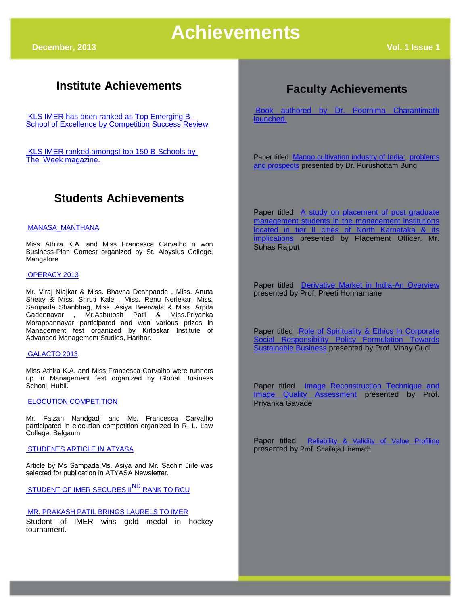# **Institute Achievements**

[KLS IMER has been ranked as Top Emerging B-](http://klsimer.edu/achievements/)**[School of Excellence by Competition Success Review](http://klsimer.edu/achievements/)** 

[KLS IMER ranked amongst top 150 B-Schools by](http://klsimer.edu/achievements/)  [The Week magazine.](http://klsimer.edu/achievements/)

### **Students Achievements**

#### [MANASA\\_MANTHANA](http://klsimer.edu/2013/11/29/manasa_manthana/)

Miss Athira K.A. and Miss Francesca Carvalho n won Business-Plan Contest organized by St. Aloysius College, Mangalore

#### [OPERACY 2013](http://klsimer.edu/2013/10/29/operacy-2013/)

Mr. Viraj Niajkar & Miss. Bhavna Deshpande , Miss. Anuta Shetty & Miss. Shruti Kale , Miss. Renu Nerlekar, Miss. Sampada Shanbhag, Miss. Asiya Beerwala & Miss. Arpita Gadennavar , Mr.Ashutosh Patil & Miss.Priyanka Morappannavar participated and won various prizes in Management fest organized by Kirloskar Institute of Advanced Management Studies, Harihar.

#### [GALACTO 2013](http://klsimer.edu/2013/11/29/galacto-2013/)

Miss Athira K.A. and Miss Francesca Carvalho were runners up in Management fest organized by Global Business School, Hubli.

#### [ELOCUTION COMPETITION](http://klsimer.edu/achievements/)

Mr. Faizan Nandgadi and Ms. Francesca Carvalho participated in elocution competition organized in R. L. Law College, Belgaum

[STUDENTS ARTICLE IN ATYASA](http://klsimer.edu/achievements/)

Article by Ms Sampada,Ms. Asiya and Mr. Sachin Jirle was selected for publication in ATYASA Newsletter.

[STUDENT OF IMER SECURES II](http://klsimer.edu/2013/12/21/congratulations/)<sup>ND</sup> RANK TO RCU

#### [MR. PRAKASH PATIL BRINGS LAURELS TO IMER](http://klsimer.edu/2013/12/27/prakash-m-patil-brings-laurels-to-kls-imer/)

Student of IMER wins gold medal in hockey tournament.

# **Faculty Achievements**

[Book authored by Dr. Poornima Charantimath](http://klsimer.edu/2013/12/12/book-authored-by-dr-poornima-charantimath-launched/)  [launched.](http://klsimer.edu/2013/12/12/book-authored-by-dr-poornima-charantimath-launched/)

Paper titled [Mango cultivation industry of India:](http://klsimer.edu/faculty/dr-purushottam-bung/) [problems](http://klsimer.edu/faculty/dr-purushottam-bung/)  [and prospects](http://klsimer.edu/faculty/dr-purushottam-bung/) presented by Dr. Purushottam Bung

Paper titled [A study on placement of post graduate](http://klsimer.edu/placements-2/placement-officer/) [management students in the management institutions](http://klsimer.edu/placements-2/placement-officer/)  [located in tier II cities of North Karnataka & its](http://klsimer.edu/placements-2/placement-officer/)  **[implications](http://klsimer.edu/placements-2/placement-officer/)** presented by Placement Officer, Mr. Suhas Rajput

Paper titled [Derivative Market in India-An Overview](http://klsimer.edu/ms-priti-honnamane/) presented by Prof. Preeti Honnamane

Paper titled [Role of Spirituality & Ethics In Corporate](http://klsimer.edu/asst-prof-vinay-gudi/) Social Responsibility Policy Formulation Towards [Sustainable Business](http://klsimer.edu/asst-prof-vinay-gudi/) presented by Prof. Vinay Gudi

Paper titled **[Image Reconstruction Technique and](http://klsimer.edu/mrs-priyanka-a-gavade/) Image Ouality Assessment** presented by Prof. Assessment presented by Prof. Priyanka Gavade

Paper titled [Reliability & Validity of Value Profiling](http://klsimer.edu/faculty/shailaja-g-hiremath/) presented by Prof. Shailaja Hiremath